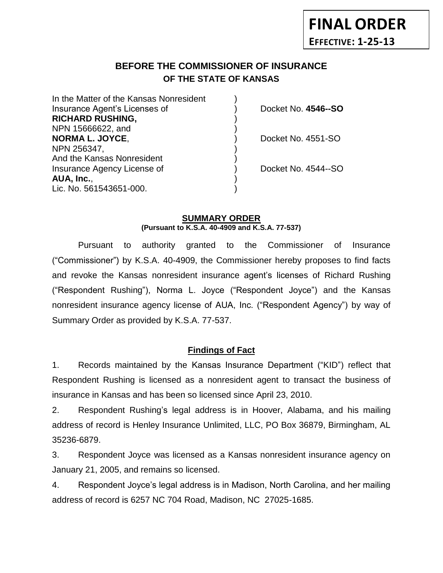# **BEFORE THE COMMISSIONER OF INSURANCE** *-12***OF THE STATE OF KANSAS**

| In the Matter of the Kansas Nonresident |                     |
|-----------------------------------------|---------------------|
| Insurance Agent's Licenses of           | Docket No. 4546--SO |
| <b>RICHARD RUSHING,</b>                 |                     |
| NPN 15666622, and                       |                     |
| <b>NORMA L. JOYCE,</b>                  | Docket No. 4551-SO  |
| NPN 256347,                             |                     |
| And the Kansas Nonresident              |                     |
| Insurance Agency License of             | Docket No. 4544--SO |
| AUA, Inc.,                              |                     |
| Lic. No. 561543651-000.                 |                     |
|                                         |                     |

### **SUMMARY ORDER (Pursuant to K.S.A. 40-4909 and K.S.A. 77-537)**

Pursuant to authority granted to the Commissioner of Insurance ("Commissioner") by K.S.A. 40-4909, the Commissioner hereby proposes to find facts and revoke the Kansas nonresident insurance agent's licenses of Richard Rushing ("Respondent Rushing"), Norma L. Joyce ("Respondent Joyce") and the Kansas nonresident insurance agency license of AUA, Inc. ("Respondent Agency") by way of Summary Order as provided by K.S.A. 77-537.

## **Findings of Fact**

1. Records maintained by the Kansas Insurance Department ("KID") reflect that Respondent Rushing is licensed as a nonresident agent to transact the business of insurance in Kansas and has been so licensed since April 23, 2010.

2. Respondent Rushing's legal address is in Hoover, Alabama, and his mailing address of record is Henley Insurance Unlimited, LLC, PO Box 36879, Birmingham, AL 35236-6879.

3. Respondent Joyce was licensed as a Kansas nonresident insurance agency on January 21, 2005, and remains so licensed.

4. Respondent Joyce's legal address is in Madison, North Carolina, and her mailing address of record is 6257 NC 704 Road, Madison, NC 27025-1685.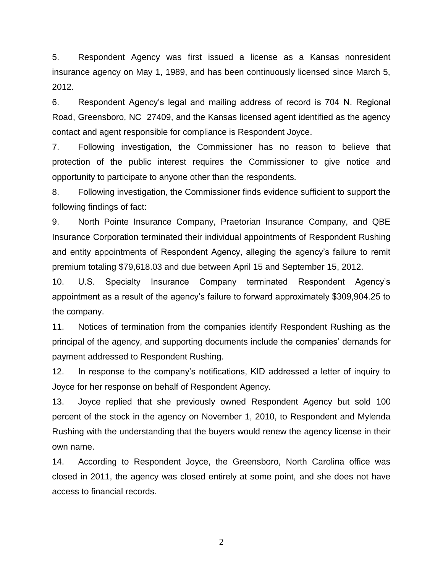5. Respondent Agency was first issued a license as a Kansas nonresident insurance agency on May 1, 1989, and has been continuously licensed since March 5, 2012.

6. Respondent Agency's legal and mailing address of record is 704 N. Regional Road, Greensboro, NC 27409, and the Kansas licensed agent identified as the agency contact and agent responsible for compliance is Respondent Joyce.

7. Following investigation, the Commissioner has no reason to believe that protection of the public interest requires the Commissioner to give notice and opportunity to participate to anyone other than the respondents.

8. Following investigation, the Commissioner finds evidence sufficient to support the following findings of fact:

9. North Pointe Insurance Company, Praetorian Insurance Company, and QBE Insurance Corporation terminated their individual appointments of Respondent Rushing and entity appointments of Respondent Agency, alleging the agency's failure to remit premium totaling \$79,618.03 and due between April 15 and September 15, 2012.

10. U.S. Specialty Insurance Company terminated Respondent Agency's appointment as a result of the agency's failure to forward approximately \$309,904.25 to the company.

11. Notices of termination from the companies identify Respondent Rushing as the principal of the agency, and supporting documents include the companies' demands for payment addressed to Respondent Rushing.

12. In response to the company's notifications, KID addressed a letter of inquiry to Joyce for her response on behalf of Respondent Agency.

13. Joyce replied that she previously owned Respondent Agency but sold 100 percent of the stock in the agency on November 1, 2010, to Respondent and Mylenda Rushing with the understanding that the buyers would renew the agency license in their own name.

14. According to Respondent Joyce, the Greensboro, North Carolina office was closed in 2011, the agency was closed entirely at some point, and she does not have access to financial records.

2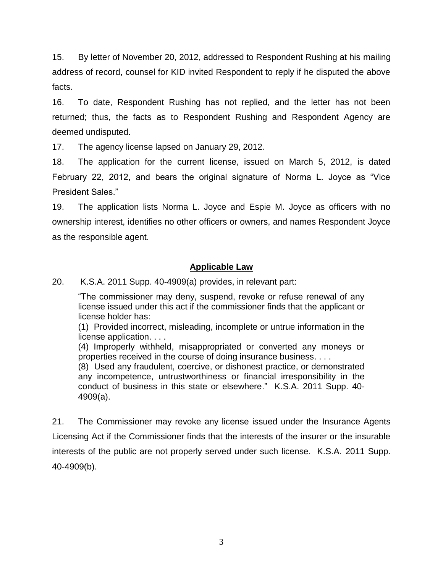15. By letter of November 20, 2012, addressed to Respondent Rushing at his mailing address of record, counsel for KID invited Respondent to reply if he disputed the above facts.

16. To date, Respondent Rushing has not replied, and the letter has not been returned; thus, the facts as to Respondent Rushing and Respondent Agency are deemed undisputed.

17. The agency license lapsed on January 29, 2012.

18. The application for the current license, issued on March 5, 2012, is dated February 22, 2012, and bears the original signature of Norma L. Joyce as "Vice President Sales."

19. The application lists Norma L. Joyce and Espie M. Joyce as officers with no ownership interest, identifies no other officers or owners, and names Respondent Joyce as the responsible agent.

### **Applicable Law**

20. K.S.A. 2011 Supp. 40-4909(a) provides, in relevant part:

"The commissioner may deny, suspend, revoke or refuse renewal of any license issued under this act if the commissioner finds that the applicant or license holder has:

(1) Provided incorrect, misleading, incomplete or untrue information in the license application. . . .

(4) Improperly withheld, misappropriated or converted any moneys or properties received in the course of doing insurance business. . . .

(8) Used any fraudulent, coercive, or dishonest practice, or demonstrated any incompetence, untrustworthiness or financial irresponsibility in the conduct of business in this state or elsewhere." K.S.A. 2011 Supp. 40- 4909(a).

21. The Commissioner may revoke any license issued under the Insurance Agents Licensing Act if the Commissioner finds that the interests of the insurer or the insurable interests of the public are not properly served under such license. K.S.A. 2011 Supp. 40-4909(b).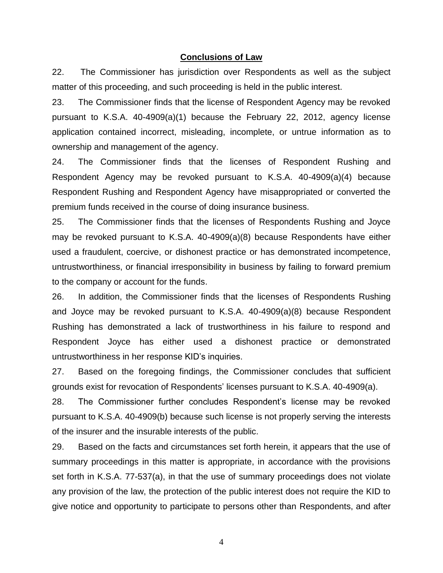#### **Conclusions of Law**

22. The Commissioner has jurisdiction over Respondents as well as the subject matter of this proceeding, and such proceeding is held in the public interest.

23. The Commissioner finds that the license of Respondent Agency may be revoked pursuant to K.S.A. 40-4909(a)(1) because the February 22, 2012, agency license application contained incorrect, misleading, incomplete, or untrue information as to ownership and management of the agency.

24. The Commissioner finds that the licenses of Respondent Rushing and Respondent Agency may be revoked pursuant to K.S.A. 40-4909(a)(4) because Respondent Rushing and Respondent Agency have misappropriated or converted the premium funds received in the course of doing insurance business.

25. The Commissioner finds that the licenses of Respondents Rushing and Joyce may be revoked pursuant to K.S.A. 40-4909(a)(8) because Respondents have either used a fraudulent, coercive, or dishonest practice or has demonstrated incompetence, untrustworthiness, or financial irresponsibility in business by failing to forward premium to the company or account for the funds.

26. In addition, the Commissioner finds that the licenses of Respondents Rushing and Joyce may be revoked pursuant to K.S.A. 40-4909(a)(8) because Respondent Rushing has demonstrated a lack of trustworthiness in his failure to respond and Respondent Joyce has either used a dishonest practice or demonstrated untrustworthiness in her response KID's inquiries.

27. Based on the foregoing findings, the Commissioner concludes that sufficient grounds exist for revocation of Respondents' licenses pursuant to K.S.A. 40-4909(a).

28. The Commissioner further concludes Respondent's license may be revoked pursuant to K.S.A. 40-4909(b) because such license is not properly serving the interests of the insurer and the insurable interests of the public.

29. Based on the facts and circumstances set forth herein, it appears that the use of summary proceedings in this matter is appropriate, in accordance with the provisions set forth in K.S.A. 77-537(a), in that the use of summary proceedings does not violate any provision of the law, the protection of the public interest does not require the KID to give notice and opportunity to participate to persons other than Respondents, and after

4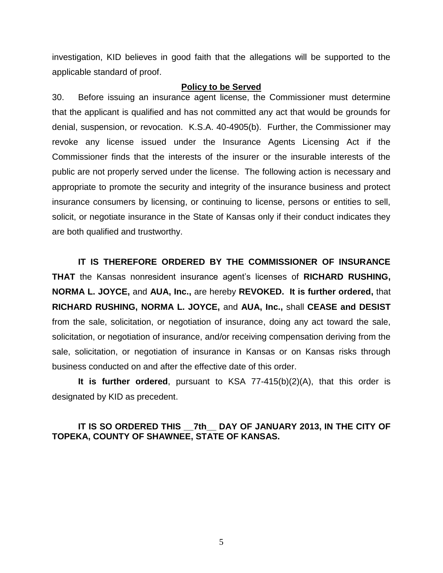investigation, KID believes in good faith that the allegations will be supported to the applicable standard of proof.

#### **Policy to be Served**

30. Before issuing an insurance agent license, the Commissioner must determine that the applicant is qualified and has not committed any act that would be grounds for denial, suspension, or revocation. K.S.A. 40-4905(b). Further, the Commissioner may revoke any license issued under the Insurance Agents Licensing Act if the Commissioner finds that the interests of the insurer or the insurable interests of the public are not properly served under the license. The following action is necessary and appropriate to promote the security and integrity of the insurance business and protect insurance consumers by licensing, or continuing to license, persons or entities to sell, solicit, or negotiate insurance in the State of Kansas only if their conduct indicates they are both qualified and trustworthy.

**IT IS THEREFORE ORDERED BY THE COMMISSIONER OF INSURANCE THAT** the Kansas nonresident insurance agent's licenses of **RICHARD RUSHING, NORMA L. JOYCE,** and **AUA, Inc.,** are hereby **REVOKED. It is further ordered,** that **RICHARD RUSHING, NORMA L. JOYCE,** and **AUA, Inc.,** shall **CEASE and DESIST** from the sale, solicitation, or negotiation of insurance, doing any act toward the sale, solicitation, or negotiation of insurance, and/or receiving compensation deriving from the sale, solicitation, or negotiation of insurance in Kansas or on Kansas risks through business conducted on and after the effective date of this order.

**It is further ordered**, pursuant to KSA 77-415(b)(2)(A), that this order is designated by KID as precedent.

### **IT IS SO ORDERED THIS \_\_7th\_\_ DAY OF JANUARY 2013, IN THE CITY OF TOPEKA, COUNTY OF SHAWNEE, STATE OF KANSAS.**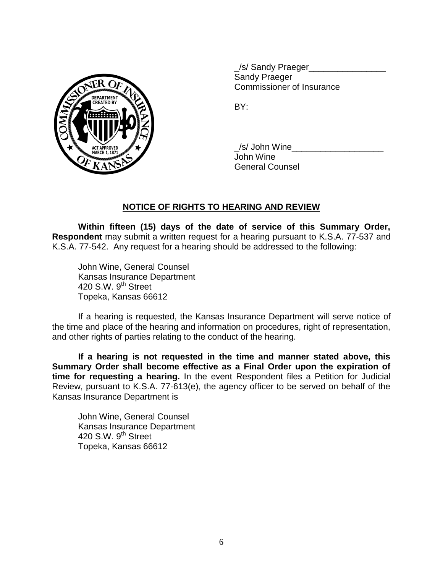

\_/s/ Sandy Praeger\_\_\_\_\_\_\_\_\_\_\_\_\_\_\_\_ Sandy Praeger Commissioner of Insurance

BY:

/s/ John Wine John Wine General Counsel

# **NOTICE OF RIGHTS TO HEARING AND REVIEW**

**Within fifteen (15) days of the date of service of this Summary Order, Respondent** may submit a written request for a hearing pursuant to K.S.A. 77-537 and K.S.A. 77-542. Any request for a hearing should be addressed to the following:

John Wine, General Counsel Kansas Insurance Department 420 S.W. 9<sup>th</sup> Street Topeka, Kansas 66612

If a hearing is requested, the Kansas Insurance Department will serve notice of the time and place of the hearing and information on procedures, right of representation, and other rights of parties relating to the conduct of the hearing.

**If a hearing is not requested in the time and manner stated above, this Summary Order shall become effective as a Final Order upon the expiration of time for requesting a hearing.** In the event Respondent files a Petition for Judicial Review, pursuant to K.S.A. 77-613(e), the agency officer to be served on behalf of the Kansas Insurance Department is

John Wine, General Counsel Kansas Insurance Department 420 S.W.  $9<sup>th</sup>$  Street Topeka, Kansas 66612